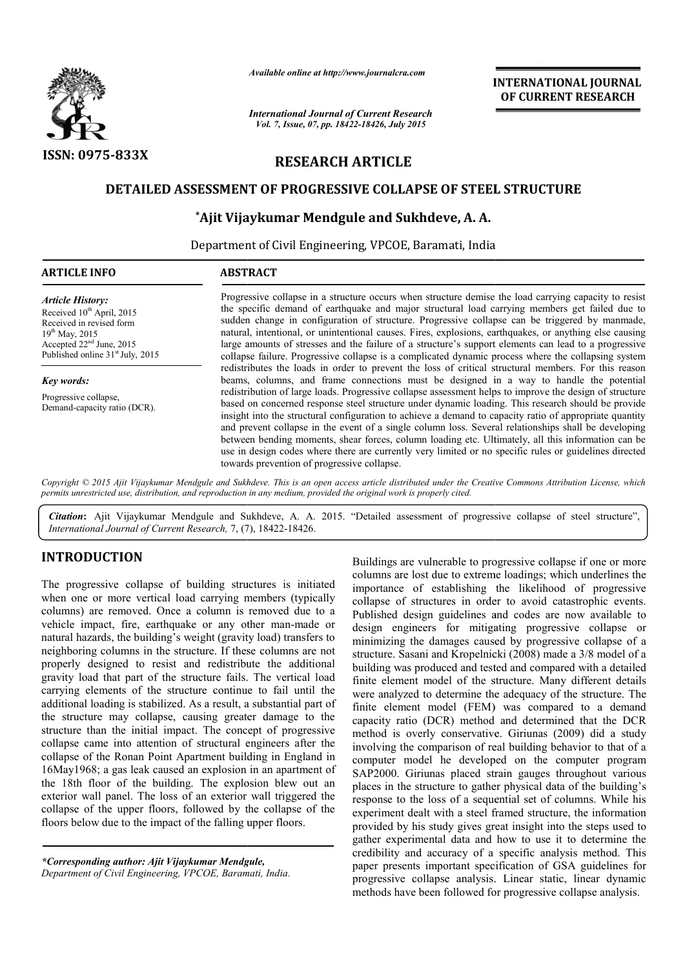

*Available online at http://www.journalcra.com*

*International Journal of Current Research Vol. 7, Issue, 07, pp. 18422-18426, July 2015*

**INTERNATIONAL INTERNATIONAL JOURNAL OF CURRENT RESEARCH** 

# **RESEARCH ARTICLE**

# **DETAILED ASSESSMENT OF PROGRESSIVE COLLAPSE OF STEEL STRUCTURE**

# **\*Ajit Vijaykumar Mendgule Ajit and Sukhdeve, A. A.**

Department of Civil Engineering, VPCOE, Baramati, India

| <b>ARTICLE INFO</b>                                                                                                                                                                               | <b>ABSTRACT</b>                                                                                                                                                                                                                                                                                                                                                                                                                                                                                                                                                                                                                                                                                                                                                                                                                                                                                                                                                                                                                                                                                                                                                                                                                                                                                                                                                                                                                                                                                                                            |
|---------------------------------------------------------------------------------------------------------------------------------------------------------------------------------------------------|--------------------------------------------------------------------------------------------------------------------------------------------------------------------------------------------------------------------------------------------------------------------------------------------------------------------------------------------------------------------------------------------------------------------------------------------------------------------------------------------------------------------------------------------------------------------------------------------------------------------------------------------------------------------------------------------------------------------------------------------------------------------------------------------------------------------------------------------------------------------------------------------------------------------------------------------------------------------------------------------------------------------------------------------------------------------------------------------------------------------------------------------------------------------------------------------------------------------------------------------------------------------------------------------------------------------------------------------------------------------------------------------------------------------------------------------------------------------------------------------------------------------------------------------|
| <b>Article History:</b><br>Received 10 <sup>th</sup> April, 2015<br>Received in revised form<br>$19^{th}$ May, 2015<br>Accepted $22nd$ June, 2015<br>Published online 31 <sup>st</sup> July, 2015 | Progressive collapse in a structure occurs when structure demise the load carrying capacity to resist<br>the specific demand of earthquake and major structural load carrying members get failed due to<br>sudden change in configuration of structure. Progressive collapse can be triggered by manmade,<br>natural, intentional, or unintentional causes. Fires, explosions, earthquakes, or anything else causing<br>large amounts of stresses and the failure of a structure's support elements can lead to a progressive<br>collapse failure. Progressive collapse is a complicated dynamic process where the collapsing system<br>redistributes the loads in order to prevent the loss of critical structural members. For this reason<br>beams, columns, and frame connections must be designed in a way to handle the potential<br>redistribution of large loads. Progressive collapse assessment helps to improve the design of structure<br>based on concerned response steel structure under dynamic loading. This research should be provide<br>insight into the structural configuration to achieve a demand to capacity ratio of appropriate quantity<br>and prevent collapse in the event of a single column loss. Several relationships shall be developing<br>between bending moments, shear forces, column loading etc. Ultimately, all this information can be<br>use in design codes where there are currently very limited or no specific rules or guidelines directed<br>towards prevention of progressive collapse. |
| <b>Key words:</b><br>Progressive collapse,<br>Demand-capacity ratio (DCR).                                                                                                                        |                                                                                                                                                                                                                                                                                                                                                                                                                                                                                                                                                                                                                                                                                                                                                                                                                                                                                                                                                                                                                                                                                                                                                                                                                                                                                                                                                                                                                                                                                                                                            |

*Copyright © 2015 Ajit Vijaykumar Mendgule and Sukhdeve permits unrestricted use, distribution, and reproduction in any medium, provided the original work is properly cited. Sukhdeve. This is an open access article distributed under the Creative Commons Att Attribution License, which* 

Citation: Ajit Vijaykumar Mendgule and Sukhdeve, A. A. 2015. "Detailed assessment of progressive collapse of steel structure", *International Journal of Current Research,* 7, (7), 18422-18426.

# **INTRODUCTION**

The progressive collapse of building structures is initiated when one or more vertical load carrying members (typically columns) are removed. Once a column is removed due to a vehicle impact, fire, earthquake or any other man man-made or natural hazards, the building's weight (gravity load) transfers to neighboring columns in the structure. If these columns are not properly designed to resist and redistribute the additional gravity load that part of the structure fails. The vertical load carrying elements of the structure continue to fail until the additional loading is stabilized. As a result, a substantial part of the structure may collapse, causing greater damage to the structure than the initial impact. The concept of progressive collapse came into attention of structural engineers after the collapse of the Ronan Point Apartment building in England in 16May1968; a gas leak caused an explosion in an apartment of the 18th floor of the building. The explosion blew out an exterior wall panel. The loss of an exterior wall triggered the collapse of the upper floors, followed by the collapse of the floors below due to the impact of the falling upper floors. uilding's weight (gravit<br>in the structure. If thes<br>o resist and redistribu<br>t of the structure fails.<br>f the structure continue<br>stabilized. As a result, a<br>collapse, causing greate<br>itial impact. The conce<br>tutention of structu

Buildings are vulnerable to progressive collapse if one or more columns are lost due to extreme loadings; which underlines the importance of establishing the likelihood of progressive collapse of structures in order to avoid catastrophic events. Published design guidelines and codes are now available to design engineers for mitigating progressive collapse or minimizing the damages caused by progressive collapse of a structure. Sasani and Kropelnicki (2008) made a 3/8 model of a building was produced and tested and compared with a detailed finite element model of the structure. Many different details were analyzed to determine the adequacy of the structure. The finite element model (FEM) was compared to a demand capacity ratio (DCR) method and determined that the DCR method is overly conservative. Giriunas (2009) did a study involving the comparison of real building behavior to that of a computer model he developed on the computer program SAP2000. Giriunas placed strain gauges throughout various places in the structure to gather physical data of the building's response to the loss of a sequential set of columns. While his experiment dealt with a steel framed structure, the information provided by his study gives great insight into the steps used to gather experimental data and how to use it to determine the credibility and accuracy of a specific analysis method. This paper presents important specification of GSA guidelines for progressive collapse analysis. Linear static, linear dynamic methods have been followed for progressive collapse analysis. are vulnerable to progressive collapse if one or more<br>tre lost due to extreme loadings; which underlines the<br>e of establishing the likelihood of progressive<br>of structures in order to avoid catastrophic events.<br>design guide ethod is overly conservative. Giriunas (2009) did a study wolving the comparison of real building behavior to that of a mputer model he developed on the computer program AP2000. Giriunas placed strain gauges throughout var

*<sup>\*</sup>Corresponding author: Ajit Vijaykumar Mendgule Corresponding Mendgule, Department of Civil Engineering, VPCOE, Baramati, Indi India.*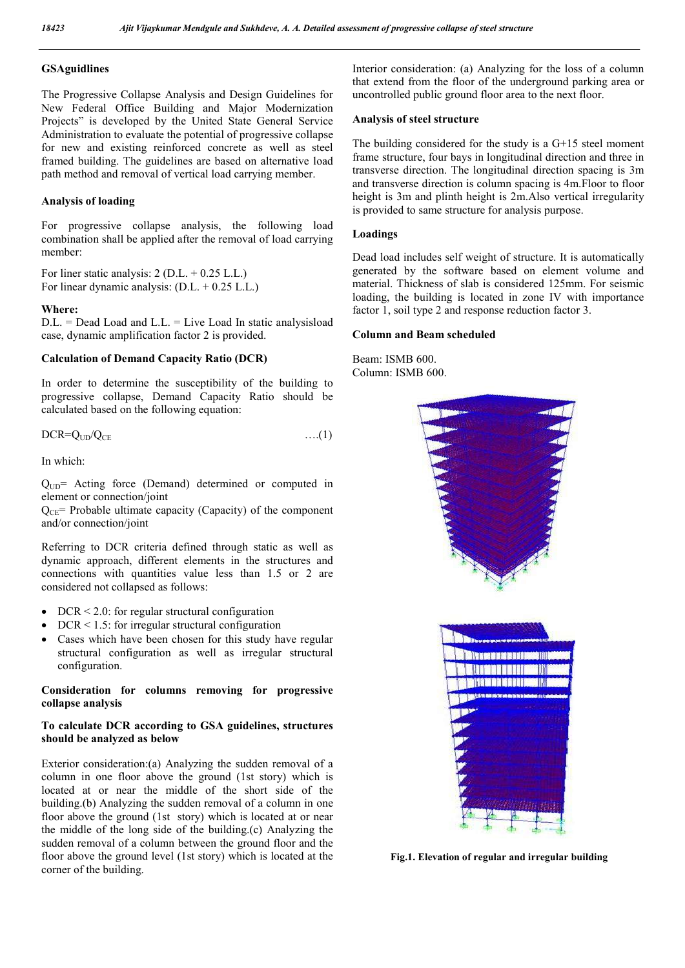## **GSAguidlines**

The Progressive Collapse Analysis and Design Guidelines for New Federal Office Building and Major Modernization Projects" is developed by the United State General Service Administration to evaluate the potential of progressive collapse for new and existing reinforced concrete as well as steel framed building. The guidelines are based on alternative load path method and removal of vertical load carrying member.

#### **Analysis of loading**

For progressive collapse analysis, the following load combination shall be applied after the removal of load carrying member:

For liner static analysis:  $2 (D.L. + 0.25 L.L.)$ For linear dynamic analysis: (D.L. + 0.25 L.L.)

#### **Where:**

D.L. = Dead Load and L.L. = Live Load In static analysisload case, dynamic amplification factor 2 is provided.

## **Calculation of Demand Capacity Ratio (DCR)**

In order to determine the susceptibility of the building to progressive collapse, Demand Capacity Ratio should be calculated based on the following equation:

$$
DCR = Q_{UD}/Q_{CE}
$$
 ... (1)

In which:

Q<sub>UD</sub>= Acting force (Demand) determined or computed in element or connection/joint

 $Q_{CF}$ = Probable ultimate capacity (Capacity) of the component and/or connection/joint

Referring to DCR criteria defined through static as well as dynamic approach, different elements in the structures and connections with quantities value less than 1.5 or 2 are considered not collapsed as follows:

- $\bullet$  DCR < 2.0: for regular structural configuration
- DCR < 1.5: for irregular structural configuration
- Cases which have been chosen for this study have regular structural configuration as well as irregular structural configuration.

### **Consideration for columns removing for progressive collapse analysis**

## **To calculate DCR according to GSA guidelines, structures should be analyzed as below**

Exterior consideration:(a) Analyzing the sudden removal of a column in one floor above the ground (1st story) which is located at or near the middle of the short side of the building.(b) Analyzing the sudden removal of a column in one floor above the ground (1st story) which is located at or near the middle of the long side of the building.(c) Analyzing the sudden removal of a column between the ground floor and the floor above the ground level (1st story) which is located at the corner of the building.

Interior consideration: (a) Analyzing for the loss of a column that extend from the floor of the underground parking area or uncontrolled public ground floor area to the next floor.

#### **Analysis of steel structure**

The building considered for the study is a G+15 steel moment frame structure, four bays in longitudinal direction and three in transverse direction. The longitudinal direction spacing is 3m and transverse direction is column spacing is 4m.Floor to floor height is 3m and plinth height is 2m.Also vertical irregularity is provided to same structure for analysis purpose.

#### **Loadings**

Dead load includes self weight of structure. It is automatically generated by the software based on element volume and material. Thickness of slab is considered 125mm. For seismic loading, the building is located in zone IV with importance factor 1, soil type 2 and response reduction factor 3.

#### **Column and Beam scheduled**

Beam: ISMB 600. Column: ISMB 600.



**Fig.1. Elevation of regular and irregular building**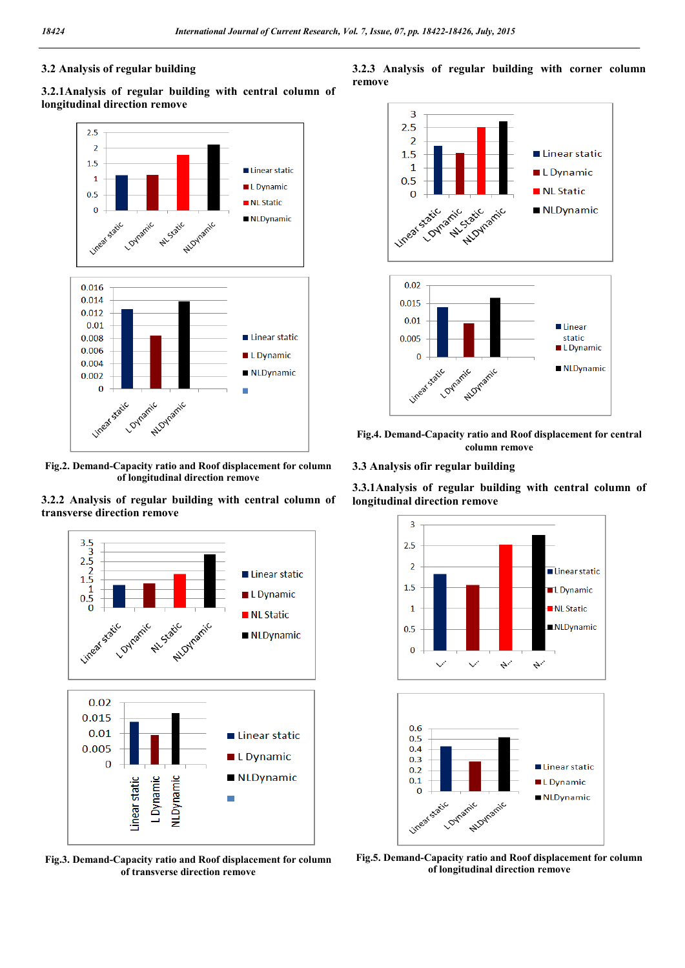## **3.2 Analysis of regular building**

**3.2.1Analysis of regular building with central column of longitudinal direction remove**



**Fig.2. Demand-Capacity ratio and Roof displacement for column of longitudinal direction remove**





**Fig.3. Demand-Capacity ratio and Roof displacement for column of transverse direction remove**





**Fig.4. Demand-Capacity ratio and Roof displacement for central column remove**

**3.3 Analysis ofir regular building**

**3.3.1Analysis of regular building with central column of longitudinal direction remove**



**Fig.5. Demand-Capacity ratio and Roof displacement for column of longitudinal direction remove**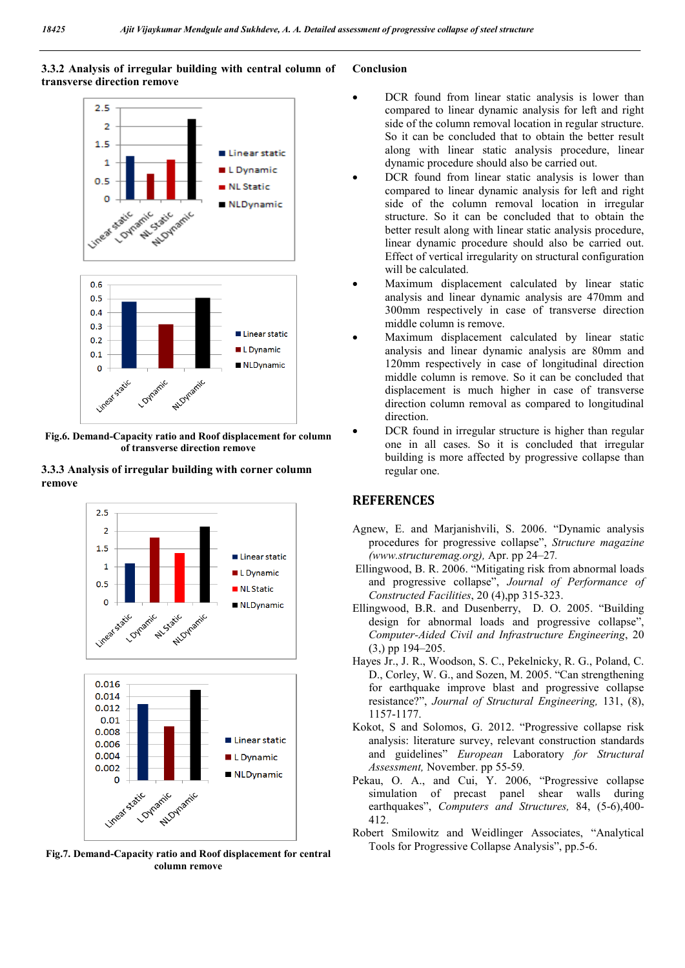## **3.3.2 Analysis of irregular building with central column of transverse direction remove**



**Fig.6. Demand-Capacity ratio and Roof displacement for column of transverse direction remove**

#### **3.3.3 Analysis of irregular building with corner column remove**



**Fig.7. Demand-Capacity ratio and Roof displacement for central column remove**

#### **Conclusion**

- DCR found from linear static analysis is lower than compared to linear dynamic analysis for left and right side of the column removal location in regular structure. So it can be concluded that to obtain the better result along with linear static analysis procedure, linear dynamic procedure should also be carried out.
- DCR found from linear static analysis is lower than compared to linear dynamic analysis for left and right side of the column removal location in irregular structure. So it can be concluded that to obtain the better result along with linear static analysis procedure, linear dynamic procedure should also be carried out. Effect of vertical irregularity on structural configuration will be calculated.
- Maximum displacement calculated by linear static analysis and linear dynamic analysis are 470mm and 300mm respectively in case of transverse direction middle column is remove.
- Maximum displacement calculated by linear static analysis and linear dynamic analysis are 80mm and 120mm respectively in case of longitudinal direction middle column is remove. So it can be concluded that displacement is much higher in case of transverse direction column removal as compared to longitudinal direction.
- DCR found in irregular structure is higher than regular one in all cases. So it is concluded that irregular building is more affected by progressive collapse than regular one.

# **REFERENCES**

- Agnew, E. and Marjanishvili, S. 2006. "Dynamic analysis procedures for progressive collapse", *Structure magazine (www.structuremag.org),* Apr. pp 24–27*.*
- Ellingwood, B. R. 2006. "Mitigating risk from abnormal loads and progressive collapse", *Journal of Performance of Constructed Facilities*, 20 (4),pp 315-323.
- Ellingwood, B.R. and Dusenberry, D. O. 2005. "Building design for abnormal loads and progressive collapse", *Computer-Aided Civil and Infrastructure Engineering*, 20 (3,) pp 194–205.
- Hayes Jr., J. R., Woodson, S. C., Pekelnicky, R. G., Poland, C. D., Corley, W. G., and Sozen, M. 2005. "Can strengthening for earthquake improve blast and progressive collapse resistance?", *Journal of Structural Engineering,* 131, (8), 1157-1177.
- Kokot, S and Solomos, G. 2012. "Progressive collapse risk analysis: literature survey, relevant construction standards and guidelines" *European* Laboratory *for Structural Assessment,* November. pp 55-59*.*
- Pekau, O. A., and Cui, Y. 2006, "Progressive collapse simulation of precast panel shear walls during earthquakes", *Computers and Structures,* 84, (5-6),400- 412.
- Robert Smilowitz and Weidlinger Associates, "Analytical Tools for Progressive Collapse Analysis", pp.5-6.